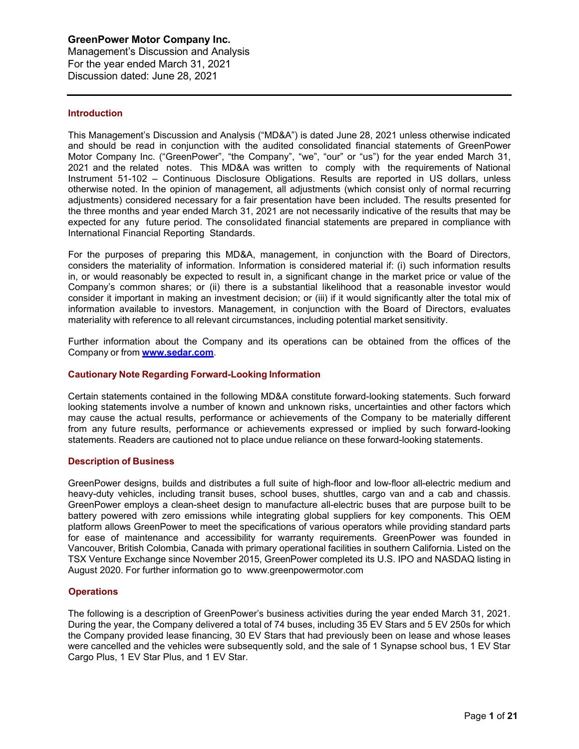Management's Discussion and Analysis For the year ended March 31, 2021 Discussion dated: June 28, 2021

#### **Introduction**

This Management's Discussion and Analysis ("MD&A") is dated June 28, 2021 unless otherwise indicated and should be read in conjunction with the audited consolidated financial statements of GreenPower Motor Company Inc. ("GreenPower", "the Company", "we", "our" or "us") for the year ended March 31, 2021 and the related notes. This MD&A was written to comply with the requirements of National Instrument 51-102 – Continuous Disclosure Obligations. Results are reported in US dollars, unless otherwise noted. In the opinion of management, all adjustments (which consist only of normal recurring adjustments) considered necessary for a fair presentation have been included. The results presented for the three months and year ended March 31, 2021 are not necessarily indicative of the results that may be expected for any future period. The consolidated financial statements are prepared in compliance with International Financial Reporting Standards.

For the purposes of preparing this MD&A, management, in conjunction with the Board of Directors, considers the materiality of information. Information is considered material if: (i) such information results in, or would reasonably be expected to result in, a significant change in the market price or value of the Company's common shares; or (ii) there is a substantial likelihood that a reasonable investor would consider it important in making an investment decision; or (iii) if it would significantly alter the total mix of information available to investors. Management, in conjunction with the Board of Directors, evaluates materiality with reference to all relevant circumstances, including potential market sensitivity.

Further information about the Company and its operations can be obtained from the offices of the Company or from **[www.sedar.com](http://www.sedar.com/)**.

#### **Cautionary Note Regarding Forward-Looking Information**

Certain statements contained in the following MD&A constitute forward-looking statements. Such forward looking statements involve a number of known and unknown risks, uncertainties and other factors which may cause the actual results, performance or achievements of the Company to be materially different from any future results, performance or achievements expressed or implied by such forward-looking statements. Readers are cautioned not to place undue reliance on these forward-looking statements.

#### **Description of Business**

GreenPower designs, builds and distributes a full suite of high-floor and low-floor all-electric medium and heavy-duty vehicles, including transit buses, school buses, shuttles, cargo van and a cab and chassis. GreenPower employs a clean-sheet design to manufacture all-electric buses that are purpose built to be battery powered with zero emissions while integrating global suppliers for key components. This OEM platform allows GreenPower to meet the specifications of various operators while providing standard parts for ease of maintenance and accessibility for warranty requirements. GreenPower was founded in Vancouver, British Colombia, Canada with primary operational facilities in southern California. Listed on the TSX Venture Exchange since November 2015, GreenPower completed its U.S. IPO and NASDAQ listing in August 2020. For further information go to [www.greenpowermotor.com](http://www.greenpowermotor.com/)

## **Operations**

The following is a description of GreenPower's business activities during the year ended March 31, 2021. During the year, the Company delivered a total of 74 buses, including 35 EV Stars and 5 EV 250s for which the Company provided lease financing, 30 EV Stars that had previously been on lease and whose leases were cancelled and the vehicles were subsequently sold, and the sale of 1 Synapse school bus, 1 EV Star Cargo Plus, 1 EV Star Plus, and 1 EV Star.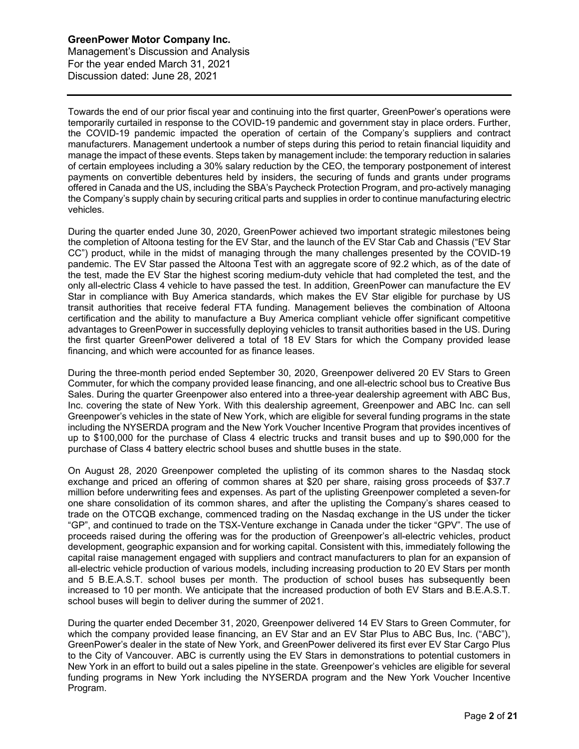Management's Discussion and Analysis For the year ended March 31, 2021 Discussion dated: June 28, 2021

Towards the end of our prior fiscal year and continuing into the first quarter, GreenPower's operations were temporarily curtailed in response to the COVID-19 pandemic and government stay in place orders. Further, the COVID-19 pandemic impacted the operation of certain of the Company's suppliers and contract manufacturers. Management undertook a number of steps during this period to retain financial liquidity and manage the impact of these events. Steps taken by management include: the temporary reduction in salaries of certain employees including a 30% salary reduction by the CEO, the temporary postponement of interest payments on convertible debentures held by insiders, the securing of funds and grants under programs offered in Canada and the US, including the SBA's Paycheck Protection Program, and pro-actively managing the Company's supply chain by securing critical parts and supplies in order to continue manufacturing electric vehicles.

During the quarter ended June 30, 2020, GreenPower achieved two important strategic milestones being the completion of Altoona testing for the EV Star, and the launch of the EV Star Cab and Chassis ("EV Star CC") product, while in the midst of managing through the many challenges presented by the COVID-19 pandemic. The EV Star passed the Altoona Test with an aggregate score of 92.2 which, as of the date of the test, made the EV Star the highest scoring medium-duty vehicle that had completed the test, and the only all-electric Class 4 vehicle to have passed the test. In addition, GreenPower can manufacture the EV Star in compliance with Buy America standards, which makes the EV Star eligible for purchase by US transit authorities that receive federal FTA funding. Management believes the combination of Altoona certification and the ability to manufacture a Buy America compliant vehicle offer significant competitive advantages to GreenPower in successfully deploying vehicles to transit authorities based in the US. During the first quarter GreenPower delivered a total of 18 EV Stars for which the Company provided lease financing, and which were accounted for as finance leases.

During the three-month period ended September 30, 2020, Greenpower delivered 20 EV Stars to Green Commuter, for which the company provided lease financing, and one all-electric school bus to Creative Bus Sales. During the quarter Greenpower also entered into a three-year dealership agreement with ABC Bus, Inc. covering the state of New York. With this dealership agreement, Greenpower and ABC Inc. can sell Greenpower's vehicles in the state of New York, which are eligible for several funding programs in the state including the NYSERDA program and the New York Voucher Incentive Program that provides incentives of up to \$100,000 for the purchase of Class 4 electric trucks and transit buses and up to \$90,000 for the purchase of Class 4 battery electric school buses and shuttle buses in the state.

On August 28, 2020 Greenpower completed the uplisting of its common shares to the Nasdaq stock exchange and priced an offering of common shares at \$20 per share, raising gross proceeds of \$37.7 million before underwriting fees and expenses. As part of the uplisting Greenpower completed a seven-for one share consolidation of its common shares, and after the uplisting the Company's shares ceased to trade on the OTCQB exchange, commenced trading on the Nasdaq exchange in the US under the ticker "GP", and continued to trade on the TSX-Venture exchange in Canada under the ticker "GPV". The use of proceeds raised during the offering was for the production of Greenpower's all-electric vehicles, product development, geographic expansion and for working capital. Consistent with this, immediately following the capital raise management engaged with suppliers and contract manufacturers to plan for an expansion of all-electric vehicle production of various models, including increasing production to 20 EV Stars per month and 5 B.E.A.S.T. school buses per month. The production of school buses has subsequently been increased to 10 per month. We anticipate that the increased production of both EV Stars and B.E.A.S.T. school buses will begin to deliver during the summer of 2021.

During the quarter ended December 31, 2020, Greenpower delivered 14 EV Stars to Green Commuter, for which the company provided lease financing, an EV Star and an EV Star Plus to ABC Bus, Inc. ("ABC"), GreenPower's dealer in the state of New York, and GreenPower delivered its first ever EV Star Cargo Plus to the City of Vancouver. ABC is currently using the EV Stars in demonstrations to potential customers in New York in an effort to build out a sales pipeline in the state. Greenpower's vehicles are eligible for several funding programs in New York including the NYSERDA program and the New York Voucher Incentive Program.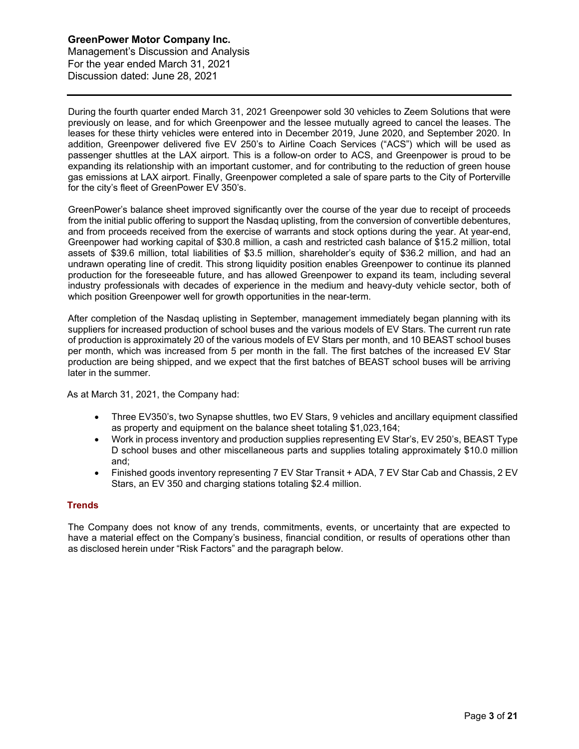Management's Discussion and Analysis For the year ended March 31, 2021 Discussion dated: June 28, 2021

During the fourth quarter ended March 31, 2021 Greenpower sold 30 vehicles to Zeem Solutions that were previously on lease, and for which Greenpower and the lessee mutually agreed to cancel the leases. The leases for these thirty vehicles were entered into in December 2019, June 2020, and September 2020. In addition, Greenpower delivered five EV 250's to Airline Coach Services ("ACS") which will be used as passenger shuttles at the LAX airport. This is a follow-on order to ACS, and Greenpower is proud to be expanding its relationship with an important customer, and for contributing to the reduction of green house gas emissions at LAX airport. Finally, Greenpower completed a sale of spare parts to the City of Porterville for the city's fleet of GreenPower EV 350's.

GreenPower's balance sheet improved significantly over the course of the year due to receipt of proceeds from the initial public offering to support the Nasdaq uplisting, from the conversion of convertible debentures, and from proceeds received from the exercise of warrants and stock options during the year. At year-end, Greenpower had working capital of \$30.8 million, a cash and restricted cash balance of \$15.2 million, total assets of \$39.6 million, total liabilities of \$3.5 million, shareholder's equity of \$36.2 million, and had an undrawn operating line of credit. This strong liquidity position enables Greenpower to continue its planned production for the foreseeable future, and has allowed Greenpower to expand its team, including several industry professionals with decades of experience in the medium and heavy-duty vehicle sector, both of which position Greenpower well for growth opportunities in the near-term.

After completion of the Nasdaq uplisting in September, management immediately began planning with its suppliers for increased production of school buses and the various models of EV Stars. The current run rate of production is approximately 20 of the various models of EV Stars per month, and 10 BEAST school buses per month, which was increased from 5 per month in the fall. The first batches of the increased EV Star production are being shipped, and we expect that the first batches of BEAST school buses will be arriving later in the summer.

As at March 31, 2021, the Company had:

- Three EV350's, two Synapse shuttles, two EV Stars, 9 vehicles and ancillary equipment classified as property and equipment on the balance sheet totaling \$1,023,164;
- Work in process inventory and production supplies representing EV Star's, EV 250's, BEAST Type D school buses and other miscellaneous parts and supplies totaling approximately \$10.0 million and;
- Finished goods inventory representing 7 EV Star Transit + ADA, 7 EV Star Cab and Chassis, 2 EV Stars, an EV 350 and charging stations totaling \$2.4 million.

## **Trends**

The Company does not know of any trends, commitments, events, or uncertainty that are expected to have a material effect on the Company's business, financial condition, or results of operations other than as disclosed herein under "Risk Factors" and the paragraph below.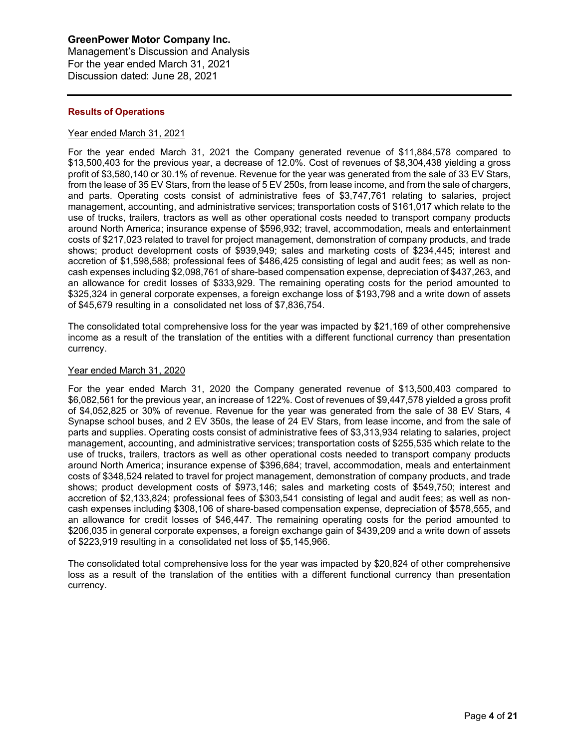Management's Discussion and Analysis For the year ended March 31, 2021 Discussion dated: June 28, 2021

## **Results of Operations**

## Year ended March 31, 2021

For the year ended March 31, 2021 the Company generated revenue of \$11,884,578 compared to \$13,500,403 for the previous year, a decrease of 12.0%. Cost of revenues of \$8,304,438 yielding a gross profit of \$3,580,140 or 30.1% of revenue. Revenue for the year was generated from the sale of 33 EV Stars, from the lease of 35 EV Stars, from the lease of 5 EV 250s, from lease income, and from the sale of chargers, and parts. Operating costs consist of administrative fees of \$3,747,761 relating to salaries, project management, accounting, and administrative services; transportation costs of \$161,017 which relate to the use of trucks, trailers, tractors as well as other operational costs needed to transport company products around North America; insurance expense of \$596,932; travel, accommodation, meals and entertainment costs of \$217,023 related to travel for project management, demonstration of company products, and trade shows; product development costs of \$939,949; sales and marketing costs of \$234,445; interest and accretion of \$1,598,588; professional fees of \$486,425 consisting of legal and audit fees; as well as noncash expenses including \$2,098,761 of share-based compensation expense, depreciation of \$437,263, and an allowance for credit losses of \$333,929. The remaining operating costs for the period amounted to \$325,324 in general corporate expenses, a foreign exchange loss of \$193,798 and a write down of assets of \$45,679 resulting in a consolidated net loss of \$7,836,754.

The consolidated total comprehensive loss for the year was impacted by \$21,169 of other comprehensive income as a result of the translation of the entities with a different functional currency than presentation currency.

#### Year ended March 31, 2020

For the year ended March 31, 2020 the Company generated revenue of \$13,500,403 compared to \$6,082,561 for the previous year, an increase of 122%. Cost of revenues of \$9,447,578 yielded a gross profit of \$4,052,825 or 30% of revenue. Revenue for the year was generated from the sale of 38 EV Stars, 4 Synapse school buses, and 2 EV 350s, the lease of 24 EV Stars, from lease income, and from the sale of parts and supplies. Operating costs consist of administrative fees of \$3,313,934 relating to salaries, project management, accounting, and administrative services; transportation costs of \$255,535 which relate to the use of trucks, trailers, tractors as well as other operational costs needed to transport company products around North America; insurance expense of \$396,684; travel, accommodation, meals and entertainment costs of \$348,524 related to travel for project management, demonstration of company products, and trade shows; product development costs of \$973,146; sales and marketing costs of \$549,750; interest and accretion of \$2,133,824; professional fees of \$303,541 consisting of legal and audit fees; as well as noncash expenses including \$308,106 of share-based compensation expense, depreciation of \$578,555, and an allowance for credit losses of \$46,447. The remaining operating costs for the period amounted to \$206,035 in general corporate expenses, a foreign exchange gain of \$439,209 and a write down of assets of \$223,919 resulting in a consolidated net loss of \$5,145,966.

The consolidated total comprehensive loss for the year was impacted by \$20,824 of other comprehensive loss as a result of the translation of the entities with a different functional currency than presentation currency.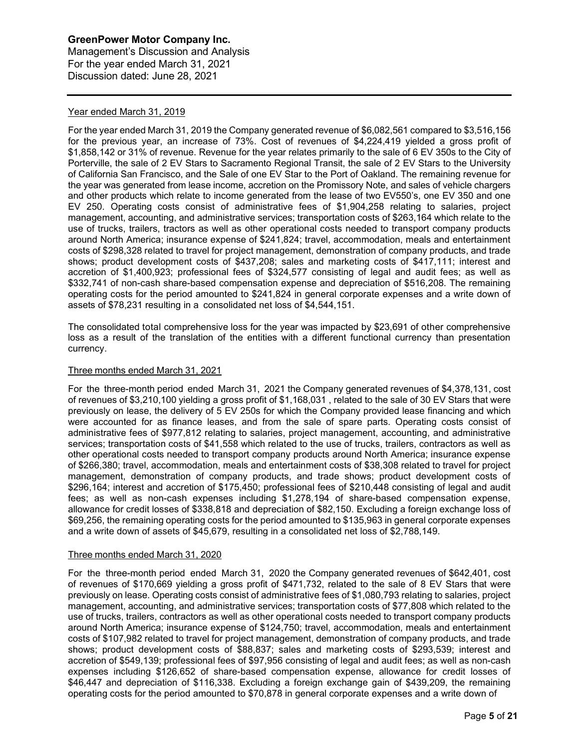#### **GreenPower Motor Company Inc.** Management's Discussion and Analysis

For the year ended March 31, 2021 Discussion dated: June 28, 2021

## Year ended March 31, 2019

For the year ended March 31, 2019 the Company generated revenue of \$6,082,561 compared to \$3,516,156 for the previous year, an increase of 73%. Cost of revenues of \$4,224,419 yielded a gross profit of \$1,858,142 or 31% of revenue. Revenue for the year relates primarily to the sale of 6 EV 350s to the City of Porterville, the sale of 2 EV Stars to Sacramento Regional Transit, the sale of 2 EV Stars to the University of California San Francisco, and the Sale of one EV Star to the Port of Oakland. The remaining revenue for the year was generated from lease income, accretion on the Promissory Note, and sales of vehicle chargers and other products which relate to income generated from the lease of two EV550's, one EV 350 and one EV 250. Operating costs consist of administrative fees of \$1,904,258 relating to salaries, project management, accounting, and administrative services; transportation costs of \$263,164 which relate to the use of trucks, trailers, tractors as well as other operational costs needed to transport company products around North America; insurance expense of \$241,824; travel, accommodation, meals and entertainment costs of \$298,328 related to travel for project management, demonstration of company products, and trade shows; product development costs of \$437,208; sales and marketing costs of \$417,111; interest and accretion of \$1,400,923; professional fees of \$324,577 consisting of legal and audit fees; as well as \$332,741 of non-cash share-based compensation expense and depreciation of \$516,208. The remaining operating costs for the period amounted to \$241,824 in general corporate expenses and a write down of assets of \$78,231 resulting in a consolidated net loss of \$4,544,151.

The consolidated total comprehensive loss for the year was impacted by \$23,691 of other comprehensive loss as a result of the translation of the entities with a different functional currency than presentation currency.

## Three months ended March 31, 2021

For the three-month period ended March 31, 2021 the Company generated revenues of \$4,378,131, cost of revenues of \$3,210,100 yielding a gross profit of \$1,168,031 , related to the sale of 30 EV Stars that were previously on lease, the delivery of 5 EV 250s for which the Company provided lease financing and which were accounted for as finance leases, and from the sale of spare parts. Operating costs consist of administrative fees of \$977,812 relating to salaries, project management, accounting, and administrative services; transportation costs of \$41,558 which related to the use of trucks, trailers, contractors as well as other operational costs needed to transport company products around North America; insurance expense of \$266,380; travel, accommodation, meals and entertainment costs of \$38,308 related to travel for project management, demonstration of company products, and trade shows; product development costs of \$296,164; interest and accretion of \$175,450; professional fees of \$210,448 consisting of legal and audit fees; as well as non-cash expenses including \$1,278,194 of share-based compensation expense, allowance for credit losses of \$338,818 and depreciation of \$82,150. Excluding a foreign exchange loss of \$69,256, the remaining operating costs for the period amounted to \$135,963 in general corporate expenses and a write down of assets of \$45,679, resulting in a consolidated net loss of \$2,788,149.

## Three months ended March 31, 2020

For the three-month period ended March 31, 2020 the Company generated revenues of \$642,401, cost of revenues of \$170,669 yielding a gross profit of \$471,732, related to the sale of 8 EV Stars that were previously on lease. Operating costs consist of administrative fees of \$1,080,793 relating to salaries, project management, accounting, and administrative services; transportation costs of \$77,808 which related to the use of trucks, trailers, contractors as well as other operational costs needed to transport company products around North America; insurance expense of \$124,750; travel, accommodation, meals and entertainment costs of \$107,982 related to travel for project management, demonstration of company products, and trade shows; product development costs of \$88,837; sales and marketing costs of \$293,539; interest and accretion of \$549,139; professional fees of \$97,956 consisting of legal and audit fees; as well as non-cash expenses including \$126,652 of share-based compensation expense, allowance for credit losses of \$46,447 and depreciation of \$116,338. Excluding a foreign exchange gain of \$439,209, the remaining operating costs for the period amounted to \$70,878 in general corporate expenses and a write down of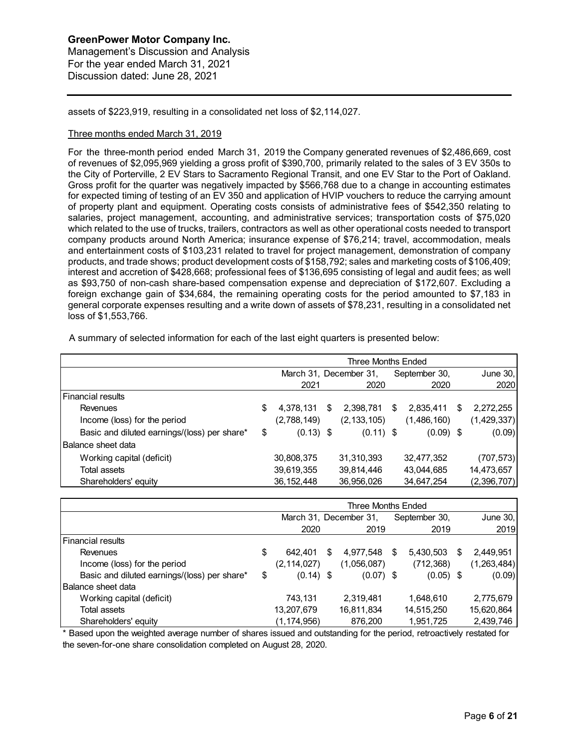Management's Discussion and Analysis For the year ended March 31, 2021 Discussion dated: June 28, 2021

assets of \$223,919, resulting in a consolidated net loss of \$2,114,027.

## Three months ended March 31, 2019

For the three-month period ended March 31, 2019 the Company generated revenues of \$2,486,669, cost of revenues of \$2,095,969 yielding a gross profit of \$390,700, primarily related to the sales of 3 EV 350s to the City of Porterville, 2 EV Stars to Sacramento Regional Transit, and one EV Star to the Port of Oakland. Gross profit for the quarter was negatively impacted by \$566,768 due to a change in accounting estimates for expected timing of testing of an EV 350 and application of HVIP vouchers to reduce the carrying amount of property plant and equipment. Operating costs consists of administrative fees of \$542,350 relating to salaries, project management, accounting, and administrative services; transportation costs of \$75,020 which related to the use of trucks, trailers, contractors as well as other operational costs needed to transport company products around North America; insurance expense of \$76,214; travel, accommodation, meals and entertainment costs of \$103,231 related to travel for project management, demonstration of company products, and trade shows; product development costs of \$158,792; sales and marketing costs of \$106,409; interest and accretion of \$428,668; professional fees of \$136,695 consisting of legal and audit fees; as well as \$93,750 of non-cash share-based compensation expense and depreciation of \$172,607. Excluding a foreign exchange gain of \$34,684, the remaining operating costs for the period amounted to \$7,183 in general corporate expenses resulting and a write down of assets of \$78,231, resulting in a consolidated net loss of \$1,553,766.

|                                              | Three Months Ended |              |   |                        |    |               |   |             |
|----------------------------------------------|--------------------|--------------|---|------------------------|----|---------------|---|-------------|
|                                              |                    |              |   | March 31, December 31, |    | September 30, |   | June 30,    |
|                                              |                    | 2021         |   | 2020                   |    | 2020          |   | 2020        |
| l Financial results                          |                    |              |   |                        |    |               |   |             |
| Revenues                                     | \$                 | 4,378,131    | S | 2,398,781              | S. | 2,835,411     | S | 2,272,255   |
| Income (loss) for the period                 |                    | (2,788,149)  |   | (2, 133, 105)          |    | (1,486,160)   |   | (1,429,337) |
| Basic and diluted earnings/(loss) per share* | S                  | $(0.13)$ \$  |   | $(0.11)$ \$            |    | $(0.09)$ \$   |   | (0.09)      |
| IBalance sheet data                          |                    |              |   |                        |    |               |   |             |
| Working capital (deficit)                    |                    | 30,808,375   |   | 31,310,393             |    | 32,477,352    |   | (707, 573)  |
| Total assets                                 |                    | 39,619,355   |   | 39,814,446             |    | 43,044,685    |   | 14,473,657  |
| Shareholders' equity                         |                    | 36, 152, 448 |   | 36,956,026             |    | 34,647,254    |   | (2,396,707) |

A summary of selected information for each of the last eight quarters is presented below:

|                                              | Three Months Ended |               |   |                        |    |               |   |             |  |
|----------------------------------------------|--------------------|---------------|---|------------------------|----|---------------|---|-------------|--|
|                                              |                    |               |   | March 31, December 31, |    | September 30, |   | June $30,$  |  |
|                                              |                    | 2020          |   | 2019                   |    | 2019          |   | 2019        |  |
| l Financial results                          |                    |               |   |                        |    |               |   |             |  |
| Revenues                                     | \$                 | 642.401       | S | 4,977,548              | S. | 5,430,503     | S | 2,449,951   |  |
| Income (loss) for the period                 |                    | (2, 114, 027) |   | (1,056,087)            |    | (712, 368)    |   | (1,263,484) |  |
| Basic and diluted earnings/(loss) per share* | \$                 | $(0.14)$ \$   |   | $(0.07)$ \$            |    | $(0.05)$ \$   |   | (0.09)      |  |
| IBalance sheet data                          |                    |               |   |                        |    |               |   |             |  |
| Working capital (deficit)                    |                    | 743,131       |   | 2,319,481              |    | 1,648,610     |   | 2,775,679   |  |
| Total assets                                 |                    | 13,207,679    |   | 16,811,834             |    | 14,515,250    |   | 15,620,864  |  |
| Shareholders' equity                         |                    | (1,174,956)   |   | 876,200                |    | 1,951,725     |   | 2,439,746   |  |

\* Based upon the weighted average number of shares issued and outstanding for the period, retroactively restated for the seven-for-one share consolidation completed on August 28, 2020.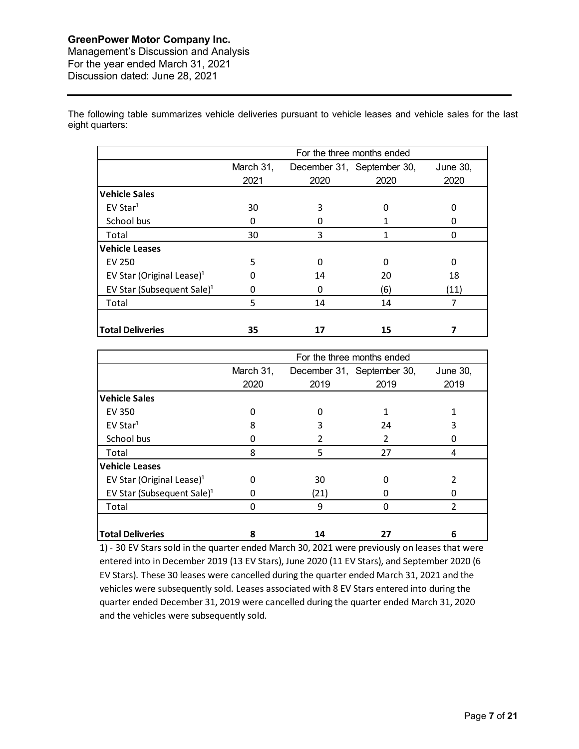Management's Discussion and Analysis For the year ended March 31, 2021 Discussion dated: June 28, 2021

The following table summarizes vehicle deliveries pursuant to vehicle leases and vehicle sales for the last eight quarters:

|                                        |           |          | For the three months ended |          |
|----------------------------------------|-----------|----------|----------------------------|----------|
|                                        | March 31, |          | December 31, September 30, | June 30, |
|                                        | 2021      | 2020     | 2020                       | 2020     |
| <b>Vehicle Sales</b>                   |           |          |                            |          |
| EV Star <sup>1</sup>                   | 30        | 3        | O                          | Ω        |
| School bus                             | O         | 0        |                            |          |
| Total                                  | 30        | 3        |                            | 0        |
| <b>Vehicle Leases</b>                  |           |          |                            |          |
| <b>EV 250</b>                          | 5         | $\Omega$ | n                          | 0        |
| EV Star (Original Lease) <sup>1</sup>  |           | 14       | 20                         | 18       |
| EV Star (Subsequent Sale) <sup>1</sup> |           | 0        | (6)                        | (11)     |
| Total                                  | 5         | 14       | 14                         |          |
|                                        |           |          |                            |          |
| <b>Total Deliveries</b>                | 35        | 17       | 15                         |          |

|                                        |           |      | For the three months ended |               |
|----------------------------------------|-----------|------|----------------------------|---------------|
|                                        | March 31, |      | December 31, September 30, | June 30,      |
|                                        | 2020      | 2019 | 2019                       | 2019          |
| <b>Vehicle Sales</b>                   |           |      |                            |               |
| <b>EV 350</b>                          |           | 0    |                            |               |
| EV Star <sup>1</sup>                   | 8         | 3    | 24                         | 3             |
| School bus                             |           | 2    | $\mathcal{P}$              | O             |
| Total                                  | 8         | 5    | 27                         | 4             |
| <b>Vehicle Leases</b>                  |           |      |                            |               |
| EV Star (Original Lease) <sup>1</sup>  | ŋ         | 30   |                            | 2             |
| EV Star (Subsequent Sale) <sup>1</sup> | ი         | (21) |                            |               |
| Total                                  | 0         | 9    | 0                          | $\mathcal{P}$ |
|                                        |           |      |                            |               |
| <b>Total Deliveries</b>                | 8         | 14   | 27                         | 6             |

1) - 30 EV Stars sold in the quarter ended March 30, 2021 were previously on leases that were entered into in December 2019 (13 EV Stars), June 2020 (11 EV Stars), and September 2020 (6 EV Stars). These 30 leases were cancelled during the quarter ended March 31, 2021 and the vehicles were subsequently sold. Leases associated with 8 EV Stars entered into during the quarter ended December 31, 2019 were cancelled during the quarter ended March 31, 2020 and the vehicles were subsequently sold.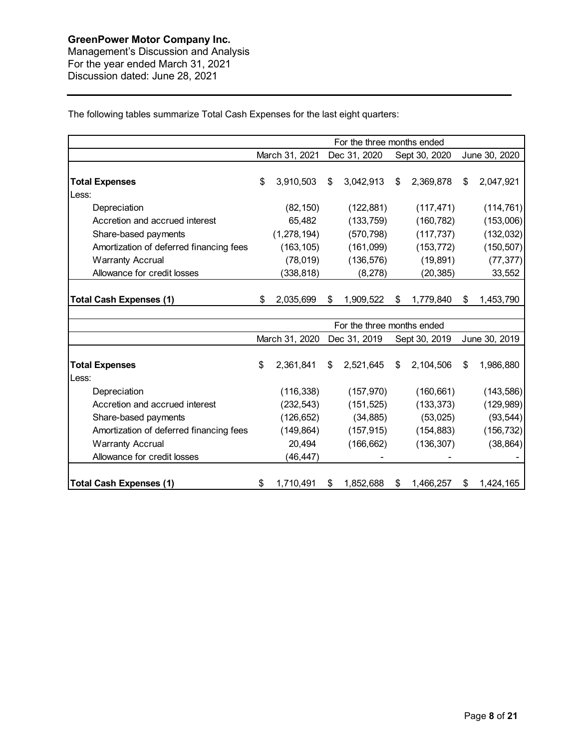Management's Discussion and Analysis For the year ended March 31, 2021 Discussion dated: June 28, 2021

The following tables summarize Total Cash Expenses for the last eight quarters:

|                                         |                             |    | For the three months ended |                 |    |               |
|-----------------------------------------|-----------------------------|----|----------------------------|-----------------|----|---------------|
|                                         | March 31, 2021              |    | Dec 31, 2020               | Sept 30, 2020   |    | June 30, 2020 |
| <b>Total Expenses</b>                   | \$<br>3,910,503             | \$ | 3,042,913                  | \$<br>2,369,878 | \$ | 2,047,921     |
| Less:<br>Depreciation                   | (82, 150)                   |    | (122, 881)                 | (117, 471)      |    | (114, 761)    |
| Accretion and accrued interest          | 65,482                      |    | (133, 759)                 | (160, 782)      |    | (153,006)     |
| Share-based payments                    | (1, 278, 194)               |    | (570, 798)                 | (117, 737)      |    | (132, 032)    |
| Amortization of deferred financing fees | (163, 105)                  |    | (161,099)                  | (153, 772)      |    | (150, 507)    |
| <b>Warranty Accrual</b>                 | (78, 019)                   |    | (136, 576)                 | (19, 891)       |    | (77, 377)     |
| Allowance for credit losses             | (338, 818)                  |    | (8, 278)                   | (20, 385)       |    | 33,552        |
|                                         |                             |    |                            |                 |    |               |
| <b>Total Cash Expenses (1)</b>          | \$<br>2,035,699             | \$ | 1,909,522                  | \$<br>1,779,840 | \$ | 1,453,790     |
|                                         |                             |    |                            |                 |    |               |
|                                         |                             |    | For the three months ended |                 |    |               |
|                                         | March 31, 2020 Dec 31, 2019 |    |                            | Sept 30, 2019   |    | June 30, 2019 |
| <b>Total Expenses</b>                   | \$<br>2,361,841             | \$ | 2,521,645                  | \$<br>2,104,506 | \$ | 1,986,880     |
| Less:                                   |                             |    |                            |                 |    |               |
| Depreciation                            | (116, 338)                  |    | (157, 970)                 | (160, 661)      |    | (143, 586)    |
| Accretion and accrued interest          | (232, 543)                  |    | (151, 525)                 | (133, 373)      |    | (129, 989)    |
| Share-based payments                    | (126, 652)                  |    | (34, 885)                  | (53,025)        |    | (93, 544)     |
| Amortization of deferred financing fees | (149, 864)                  |    | (157, 915)                 | (154, 883)      |    | (156, 732)    |
| <b>Warranty Accrual</b>                 | 20,494                      |    | (166, 662)                 | (136, 307)      |    | (38, 864)     |
| Allowance for credit losses             | (46, 447)                   |    |                            |                 |    |               |
| <b>Total Cash Expenses (1)</b>          | \$<br>1,710,491             | S  | 1,852,688                  | \$<br>1,466,257 | S  | 1,424,165     |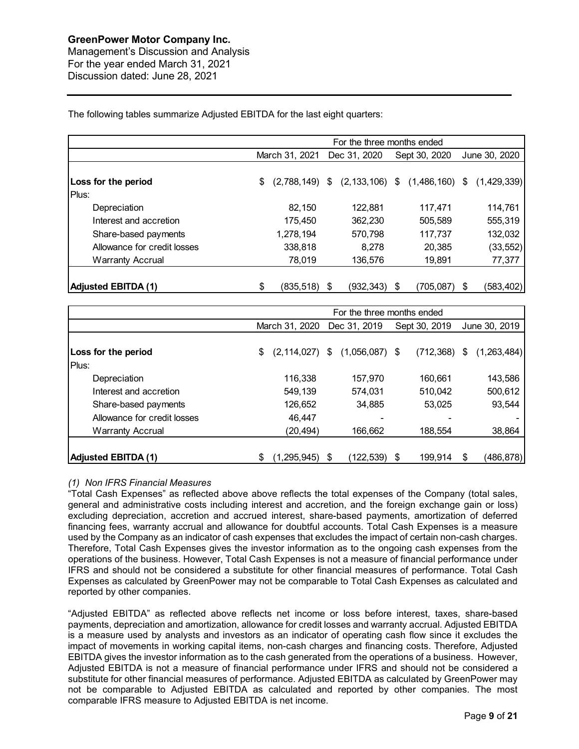Management's Discussion and Analysis For the year ended March 31, 2021 Discussion dated: June 28, 2021

The following tables summarize Adjusted EBITDA for the last eight quarters:

|                              | For the three months ended                      |                  |  |           |   |                                    |    |               |  |  |
|------------------------------|-------------------------------------------------|------------------|--|-----------|---|------------------------------------|----|---------------|--|--|
|                              | March 31, 2021<br>Sept 30, 2020<br>Dec 31, 2020 |                  |  |           |   |                                    |    | June 30, 2020 |  |  |
| Loss for the period<br>Plus: | \$                                              | $(2,788,149)$ \$ |  |           |   | $(2, 133, 106)$ \$ $(1, 486, 160)$ | \$ | (1,429,339)   |  |  |
| Depreciation                 |                                                 | 82,150           |  | 122,881   |   | 117,471                            |    | 114,761       |  |  |
| Interest and accretion       |                                                 | 175,450          |  | 362,230   |   | 505,589                            |    | 555,319       |  |  |
| Share-based payments         |                                                 | 1,278,194        |  | 570,798   |   | 117,737                            |    | 132,032       |  |  |
| Allowance for credit losses  |                                                 | 338,818          |  | 8,278     |   | 20,385                             |    | (33, 552)     |  |  |
| <b>Warranty Accrual</b>      |                                                 | 78,019           |  | 136,576   |   | 19,891                             |    | 77,377        |  |  |
|                              |                                                 |                  |  |           |   |                                    |    |               |  |  |
| <b>Adjusted EBITDA (1)</b>   | \$                                              | $(835,518)$ \$   |  | (932,343) | S | (705.087)                          | S  | (583,402)     |  |  |

|                             | For the three months ended |                |   |                                       |    |               |    |               |
|-----------------------------|----------------------------|----------------|---|---------------------------------------|----|---------------|----|---------------|
|                             |                            | March 31, 2020 |   | Dec 31, 2019                          |    | Sept 30, 2019 |    | June 30, 2019 |
| Loss for the period         | \$                         |                |   | $(2, 114, 027)$ \$ $(1, 056, 087)$ \$ |    | (712, 368)    | \$ | (1,263,484)   |
| Plus:                       |                            |                |   |                                       |    |               |    |               |
| Depreciation                |                            | 116,338        |   | 157.970                               |    | 160,661       |    | 143,586       |
| Interest and accretion      |                            | 549,139        |   | 574.031                               |    | 510,042       |    | 500,612       |
| Share-based payments        |                            | 126,652        |   | 34.885                                |    | 53,025        |    | 93,544        |
| Allowance for credit losses |                            | 46,447         |   |                                       |    |               |    |               |
| <b>Warranty Accrual</b>     |                            | (20, 494)      |   | 166,662                               |    | 188,554       |    | 38,864        |
| <b>Adjusted EBITDA (1)</b>  | \$                         | (1, 295, 945)  | S | (122,539)                             | \$ | 199.914       | S  | (486, 878)    |

## *(1) Non IFRS Financial Measures*

"Total Cash Expenses" as reflected above above reflects the total expenses of the Company (total sales, general and administrative costs including interest and accretion, and the foreign exchange gain or loss) excluding depreciation, accretion and accrued interest, share-based payments, amortization of deferred financing fees, warranty accrual and allowance for doubtful accounts. Total Cash Expenses is a measure used by the Company as an indicator of cash expenses that excludes the impact of certain non-cash charges. Therefore, Total Cash Expenses gives the investor information as to the ongoing cash expenses from the operations of the business. However, Total Cash Expenses is not a measure of financial performance under IFRS and should not be considered a substitute for other financial measures of performance. Total Cash Expenses as calculated by GreenPower may not be comparable to Total Cash Expenses as calculated and reported by other companies.

"Adjusted EBITDA" as reflected above reflects net income or loss before interest, taxes, share-based payments, depreciation and amortization, allowance for credit losses and warranty accrual. Adjusted EBITDA is a measure used by analysts and investors as an indicator of operating cash flow since it excludes the impact of movements in working capital items, non-cash charges and financing costs. Therefore, Adjusted EBITDA gives the investor information as to the cash generated from the operations of a business. However, Adjusted EBITDA is not a measure of financial performance under IFRS and should not be considered a substitute for other financial measures of performance. Adjusted EBITDA as calculated by GreenPower may not be comparable to Adjusted EBITDA as calculated and reported by other companies. The most comparable IFRS measure to Adjusted EBITDA is net income.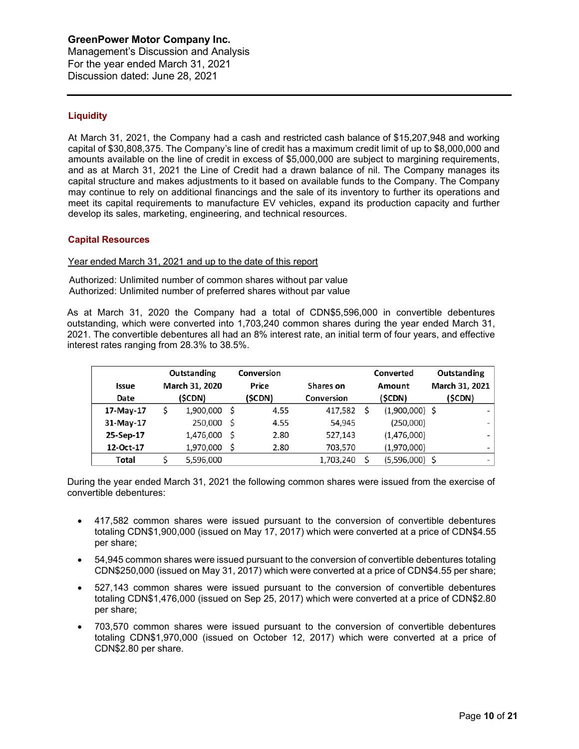Management's Discussion and Analysis For the year ended March 31, 2021 Discussion dated: June 28, 2021

## **Liquidity**

At March 31, 2021, the Company had a cash and restricted cash balance of \$15,207,948 and working capital of \$30,808,375. The Company's line of credit has a maximum credit limit of up to \$8,000,000 and amounts available on the line of credit in excess of \$5,000,000 are subject to margining requirements, and as at March 31, 2021 the Line of Credit had a drawn balance of nil. The Company manages its capital structure and makes adjustments to it based on available funds to the Company. The Company may continue to rely on additional financings and the sale of its inventory to further its operations and meet its capital requirements to manufacture EV vehicles, expand its production capacity and further develop its sales, marketing, engineering, and technical resources.

## **Capital Resources**

Year ended March 31, 2021 and up to the date of this report

Authorized: Unlimited number of common shares without par value Authorized: Unlimited number of preferred shares without par value

As at March 31, 2020 the Company had a total of CDN\$5,596,000 in convertible debentures outstanding, which were converted into 1,703,240 common shares during the year ended March 31, 2021. The convertible debentures all had an 8% interest rate, an initial term of four years, and effective interest rates ranging from 28.3% to 38.5%.

|           |                | Outstanding |       | Conversion |            | Converted        | Outstanding    |
|-----------|----------------|-------------|-------|------------|------------|------------------|----------------|
| Issue     | March 31, 2020 |             | Price |            | Shares on  | Amount           | March 31, 2021 |
| Date      |                | (\$CDN)     |       | (\$CDN)    | Conversion | (\$CDN)          | (\$CDN)        |
| 17-May-17 |                | 1,900,000   | -S    | 4.55       | 417.582    | $(1,900,000)$ \$ |                |
| 31-May-17 |                | 250,000     | Ŝ     | 4.55       | 54,945     | (250,000)        | ٠              |
| 25-Sep-17 |                | 1,476,000   | Ŝ     | 2.80       | 527,143    | (1,476,000)      |                |
| 12-Oct-17 |                | 1,970,000   | Ŝ     | 2.80       | 703,570    | (1,970,000)      | -              |
| Total     |                | 5,596,000   |       |            | 1,703,240  | $(5,596,000)$ \$ | ٠              |

During the year ended March 31, 2021 the following common shares were issued from the exercise of convertible debentures:

- 417,582 common shares were issued pursuant to the conversion of convertible debentures totaling CDN\$1,900,000 (issued on May 17, 2017) which were converted at a price of CDN\$4.55 per share;
- 54,945 common shares were issued pursuant to the conversion of convertible debentures totaling CDN\$250,000 (issued on May 31, 2017) which were converted at a price of CDN\$4.55 per share;
- 527,143 common shares were issued pursuant to the conversion of convertible debentures totaling CDN\$1,476,000 (issued on Sep 25, 2017) which were converted at a price of CDN\$2.80 per share;
- 703,570 common shares were issued pursuant to the conversion of convertible debentures totaling CDN\$1,970,000 (issued on October 12, 2017) which were converted at a price of CDN\$2.80 per share.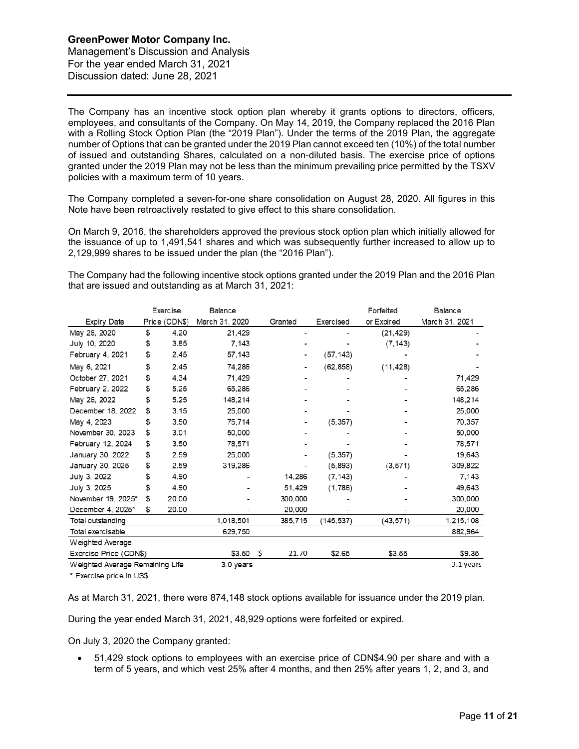Management's Discussion and Analysis For the year ended March 31, 2021 Discussion dated: June 28, 2021

The Company has an incentive stock option plan whereby it grants options to directors, officers, employees, and consultants of the Company. On May 14, 2019, the Company replaced the 2016 Plan with a Rolling Stock Option Plan (the "2019 Plan"). Under the terms of the 2019 Plan, the aggregate number of Options that can be granted under the 2019 Plan cannot exceed ten (10%) of the total number of issued and outstanding Shares, calculated on a non-diluted basis. The exercise price of options granted under the 2019 Plan may not be less than the minimum prevailing price permitted by the TSXV policies with a maximum term of 10 years.

The Company completed a seven-for-one share consolidation on August 28, 2020. All figures in this Note have been retroactively restated to give effect to this share consolidation.

On March 9, 2016, the shareholders approved the previous stock option plan which initially allowed for the issuance of up to 1,491,541 shares and which was subsequently further increased to allow up to 2,129,999 shares to be issued under the plan (the "2016 Plan").

The Company had the following incentive stock options granted under the 2019 Plan and the 2016 Plan that are issued and outstanding as at March 31, 2021:

|                                 | Exercise      | Balance        |         |                |            | Forfeited  | <b>Balance</b> |
|---------------------------------|---------------|----------------|---------|----------------|------------|------------|----------------|
| <b>Expiry Date</b>              | Price (CDN\$) | March 31, 2020 | Granted |                | Exercised  | or Expired | March 31, 2021 |
| May 26, 2020                    | \$<br>4.20    | 21,429         |         |                |            | (21, 429)  |                |
| July 10, 2020                   | \$<br>3.85    | 7,143          |         |                |            | (7, 143)   |                |
| February 4, 2021                | \$<br>2.45    | 57,143         |         | $\blacksquare$ | (57, 143)  |            |                |
| May 6, 2021                     | \$<br>2.45    | 74,286         |         | $\blacksquare$ | (62, 858)  | (11, 428)  |                |
| October 27, 2021                | \$<br>4.34    | 71,429         |         |                |            |            | 71,429         |
| February 2, 2022                | \$<br>5.25    | 65,286         |         |                |            |            | 65,286         |
| May 26, 2022                    | \$<br>5.25    | 148,214        |         |                |            |            | 148,214        |
| December 18, 2022               | \$<br>3.15    | 25,000         |         |                |            |            | 25,000         |
| May 4, 2023                     | \$<br>3.50    | 75,714         |         |                | (5, 357)   |            | 70,357         |
| November 30, 2023               | \$<br>3.01    | 50,000         |         |                |            |            | 50,000         |
| February 12, 2024               | \$<br>3.50    | 78,571         |         |                |            |            | 78,571         |
| January 30, 2022                | \$<br>2.59    | 25,000         |         | ۰              | (5, 357)   |            | 19,643         |
| January 30, 2025                | \$<br>2.59    | 319,286        |         |                | (5, 893)   | (3, 571)   | 309,822        |
| July 3, 2022                    | \$<br>4.90    |                |         | 14,286         | (7, 143)   |            | 7,143          |
| July 3, 2025                    | \$<br>4.90    |                |         | 51.429         | (1,786)    |            | 49,643         |
| November 19, 2025*              | \$<br>20.00   |                |         | 300,000        |            |            | 300,000        |
| December 4, 2025*               | \$<br>20.00   |                |         | 20,000         |            |            | 20,000         |
| Total outstanding               |               | 1,018,501      |         | 385,715        | (145, 537) | (43,571)   | 1,215,108      |
| Total exercisable               |               | 629,750        |         |                |            |            | 882,964        |
| Weighted Average                |               |                |         |                |            |            |                |
| Exercise Price (CDN\$)          |               | $$3.50$ \$     |         | 21.70          | \$2.65     | \$3.55     | \$9.35         |
| Weighted Average Remaining Life |               | 3.0 years      |         |                |            |            | 3.1 years      |

\* Exercise price in US\$

As at March 31, 2021, there were 874,148 stock options available for issuance under the 2019 plan.

During the year ended March 31, 2021, 48,929 options were forfeited or expired.

On July 3, 2020 the Company granted:

• 51,429 stock options to employees with an exercise price of CDN\$4.90 per share and with a term of 5 years, and which vest 25% after 4 months, and then 25% after years 1, 2, and 3, and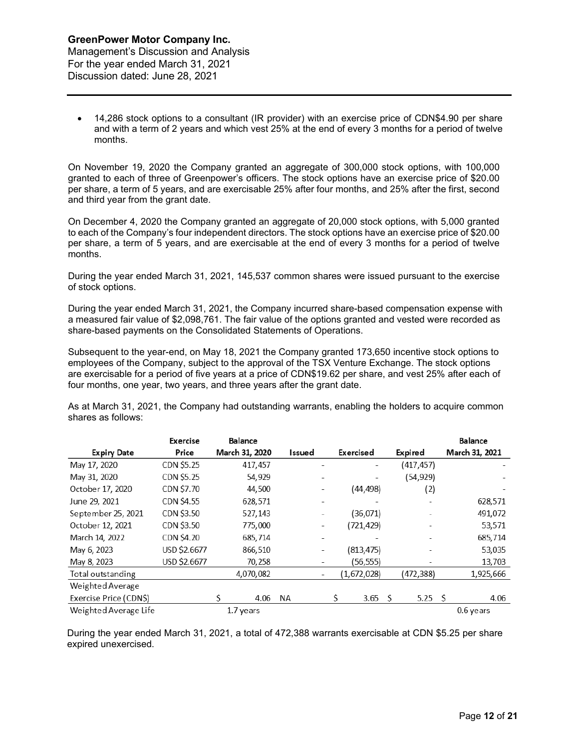• 14,286 stock options to a consultant (IR provider) with an exercise price of CDN\$4.90 per share and with a term of 2 years and which vest 25% at the end of every 3 months for a period of twelve months.

On November 19, 2020 the Company granted an aggregate of 300,000 stock options, with 100,000 granted to each of three of Greenpower's officers. The stock options have an exercise price of \$20.00 per share, a term of 5 years, and are exercisable 25% after four months, and 25% after the first, second and third year from the grant date.

On December 4, 2020 the Company granted an aggregate of 20,000 stock options, with 5,000 granted to each of the Company's four independent directors. The stock options have an exercise price of \$20.00 per share, a term of 5 years, and are exercisable at the end of every 3 months for a period of twelve months.

During the year ended March 31, 2021, 145,537 common shares were issued pursuant to the exercise of stock options.

During the year ended March 31, 2021, the Company incurred share-based compensation expense with a measured fair value of \$2,098,761. The fair value of the options granted and vested were recorded as share-based payments on the Consolidated Statements of Operations.

Subsequent to the year-end, on May 18, 2021 the Company granted 173,650 incentive stock options to employees of the Company, subject to the approval of the TSX Venture Exchange. The stock options are exercisable for a period of five years at a price of CDN\$19.62 per share, and vest 25% after each of four months, one year, two years, and three years after the grant date.

As at March 31, 2021, the Company had outstanding warrants, enabling the holders to acquire common shares as follows:

|                        | Exercise     |   | Balance        |    |                          |                |             | <b>Balance</b> |
|------------------------|--------------|---|----------------|----|--------------------------|----------------|-------------|----------------|
| <b>Expiry Date</b>     | Price        |   | March 31, 2020 |    | Issued                   | Exercised      | Expired     | March 31, 2021 |
| May 17, 2020           | CDN \$5.25   |   | 417,457        |    |                          |                | (417,457)   |                |
| May 31, 2020           | CDN \$5.25   |   | 54,929         |    |                          |                | (54, 929)   |                |
| October 17, 2020       | CDN \$7.70   |   | 44,500         |    |                          | (44, 498)      | (2)         |                |
| June 29, 2021          | CDN \$4.55   |   | 628,571        |    |                          |                |             | 628,571        |
| September 25, 2021     | CDN \$3.50   |   | 527,143        |    |                          | (36,071)       |             | 491,072        |
| October 12, 2021       | CDN \$3.50   |   | 775,000        |    |                          | (721,429)      |             | 53,571         |
| March 14, 2022         | CDN \$4.20   |   | 685,714        |    | -                        |                |             | 685,714        |
| May 6, 2023            | USD \$2.6677 |   | 866,510        |    |                          | (813, 475)     |             | 53,035         |
| May 8, 2023            | USD \$2.6677 |   | 70,258         |    |                          | (56, 555)      |             | 13,703         |
| Total outstanding      |              |   | 4,070,082      |    | $\overline{\phantom{a}}$ | (1,672,028)    | (472,388)   | 1,925,666      |
| Weighted Average       |              |   |                |    |                          |                |             |                |
| Exercise Price (CDN\$) |              | Ś | 4.06           | NА |                          | $3.65 \quad S$ | 5.25 $\,$ S | 4.06           |
| Weighted Average Life  |              |   | 1.7 years      |    |                          |                |             | 0.6 years      |

During the year ended March 31, 2021, a total of 472,388 warrants exercisable at CDN \$5.25 per share expired unexercised.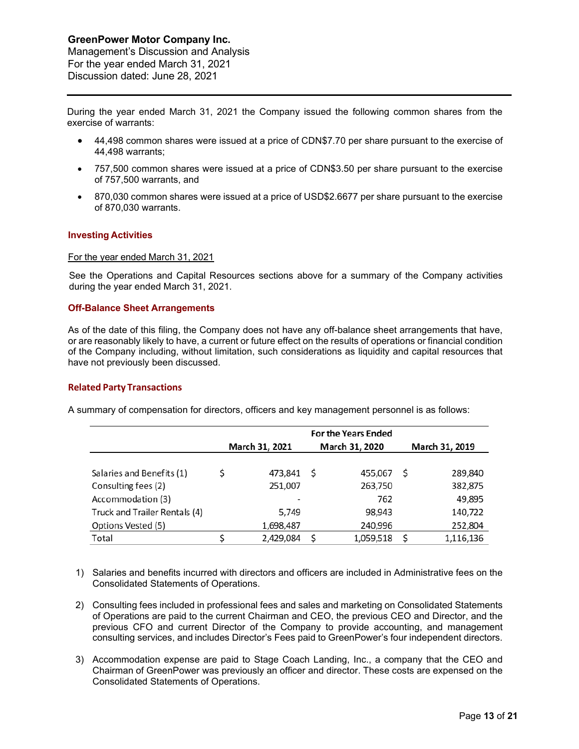Management's Discussion and Analysis For the year ended March 31, 2021 Discussion dated: June 28, 2021

During the year ended March 31, 2021 the Company issued the following common shares from the exercise of warrants:

- 44,498 common shares were issued at a price of CDN\$7.70 per share pursuant to the exercise of 44,498 warrants;
- 757,500 common shares were issued at a price of CDN\$3.50 per share pursuant to the exercise of 757,500 warrants, and
- 870,030 common shares were issued at a price of USD\$2.6677 per share pursuant to the exercise of 870,030 warrants.

## **Investing Activities**

#### For the year ended March 31, 2021

See the Operations and Capital Resources sections above for a summary of the Company activities during the year ended March 31, 2021.

## **Off-Balance Sheet Arrangements**

As of the date of this filing, the Company does not have any off-balance sheet arrangements that have, or are reasonably likely to have, a current or future effect on the results of operations or financial condition of the Company including, without limitation, such considerations as liquidity and capital resources that have not previously been discussed.

## **Related Party Transactions**

|                               |                |    | <b>For the Years Ended</b> |   |                |
|-------------------------------|----------------|----|----------------------------|---|----------------|
|                               | March 31, 2021 |    | March 31, 2020             |   | March 31, 2019 |
| Salaries and Benefits (1)     | 473,841        | -S | 455,067                    | S | 289,840        |
| Consulting fees (2)           | 251,007        |    | 263,750                    |   | 382,875        |
| Accommodation (3)             |                |    | 762                        |   | 49,895         |
| Truck and Trailer Rentals (4) | 5,749          |    | 98,943                     |   | 140,722        |
| Options Vested (5)            | 1,698,487      |    | 240,996                    |   | 252,804        |
| Total                         | 2,429,084      |    | 1,059,518                  |   | 1,116,136      |

A summary of compensation for directors, officers and key management personnel is as follows:

- 1) Salaries and benefits incurred with directors and officers are included in Administrative fees on the Consolidated Statements of Operations.
- 2) Consulting fees included in professional fees and sales and marketing on Consolidated Statements of Operations are paid to the current Chairman and CEO, the previous CEO and Director, and the previous CFO and current Director of the Company to provide accounting, and management consulting services, and includes Director's Fees paid to GreenPower's four independent directors.
- 3) Accommodation expense are paid to Stage Coach Landing, Inc., a company that the CEO and Chairman of GreenPower was previously an officer and director. These costs are expensed on the Consolidated Statements of Operations.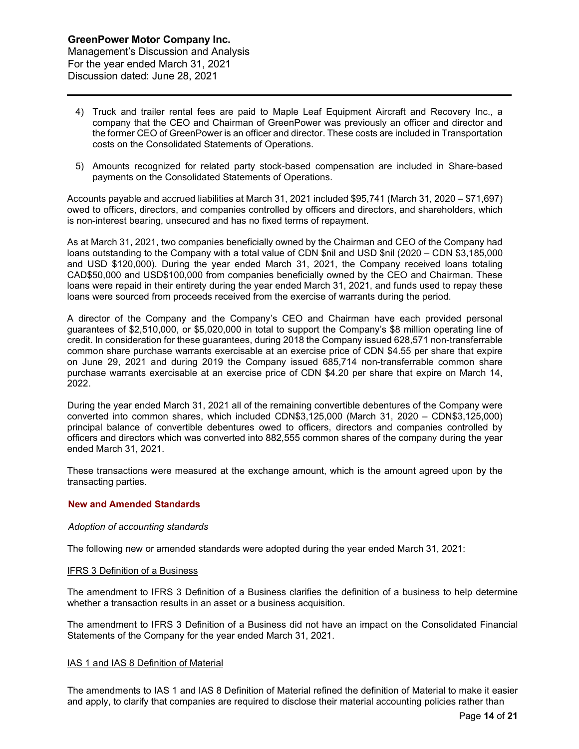- 4) Truck and trailer rental fees are paid to Maple Leaf Equipment Aircraft and Recovery Inc., a company that the CEO and Chairman of GreenPower was previously an officer and director and the former CEO of GreenPower is an officer and director. These costs are included in Transportation costs on the Consolidated Statements of Operations.
- 5) Amounts recognized for related party stock-based compensation are included in Share-based payments on the Consolidated Statements of Operations.

Accounts payable and accrued liabilities at March 31, 2021 included \$95,741 (March 31, 2020 – \$71,697) owed to officers, directors, and companies controlled by officers and directors, and shareholders, which is non-interest bearing, unsecured and has no fixed terms of repayment.

As at March 31, 2021, two companies beneficially owned by the Chairman and CEO of the Company had loans outstanding to the Company with a total value of CDN \$nil and USD \$nil (2020 – CDN \$3,185,000 and USD \$120,000). During the year ended March 31, 2021, the Company received loans totaling CAD\$50,000 and USD\$100,000 from companies beneficially owned by the CEO and Chairman. These loans were repaid in their entirety during the year ended March 31, 2021, and funds used to repay these loans were sourced from proceeds received from the exercise of warrants during the period.

A director of the Company and the Company's CEO and Chairman have each provided personal guarantees of \$2,510,000, or \$5,020,000 in total to support the Company's \$8 million operating line of credit. In consideration for these guarantees, during 2018 the Company issued 628,571 non-transferrable common share purchase warrants exercisable at an exercise price of CDN \$4.55 per share that expire on June 29, 2021 and during 2019 the Company issued 685,714 non-transferrable common share purchase warrants exercisable at an exercise price of CDN \$4.20 per share that expire on March 14, 2022.

During the year ended March 31, 2021 all of the remaining convertible debentures of the Company were converted into common shares, which included CDN\$3,125,000 (March 31, 2020 – CDN\$3,125,000) principal balance of convertible debentures owed to officers, directors and companies controlled by officers and directors which was converted into 882,555 common shares of the company during the year ended March 31, 2021.

These transactions were measured at the exchange amount, which is the amount agreed upon by the transacting parties.

## **New and Amended Standards**

## *Adoption of accounting standards*

The following new or amended standards were adopted during the year ended March 31, 2021:

#### IFRS 3 Definition of a Business

The amendment to IFRS 3 Definition of a Business clarifies the definition of a business to help determine whether a transaction results in an asset or a business acquisition.

The amendment to IFRS 3 Definition of a Business did not have an impact on the Consolidated Financial Statements of the Company for the year ended March 31, 2021.

## IAS 1 and IAS 8 Definition of Material

The amendments to IAS 1 and IAS 8 Definition of Material refined the definition of Material to make it easier and apply, to clarify that companies are required to disclose their material accounting policies rather than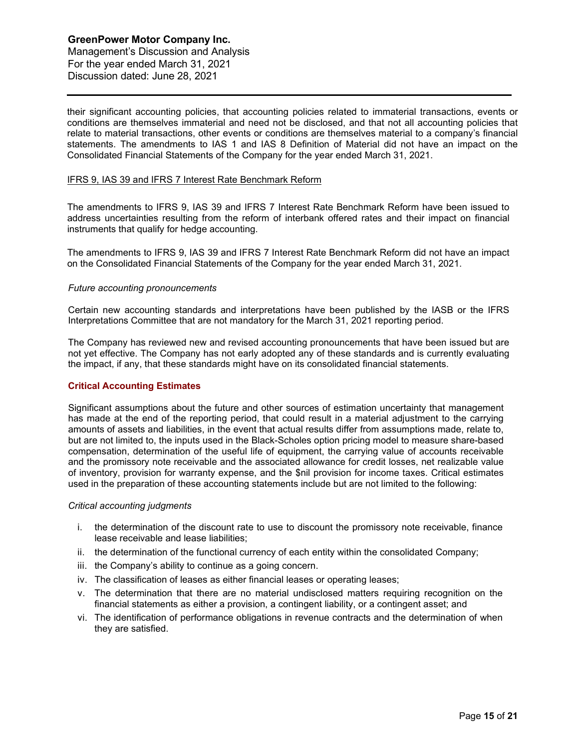**GreenPower Motor Company Inc.** Management's Discussion and Analysis For the year ended March 31, 2021 Discussion dated: June 28, 2021

their significant accounting policies, that accounting policies related to immaterial transactions, events or conditions are themselves immaterial and need not be disclosed, and that not all accounting policies that relate to material transactions, other events or conditions are themselves material to a company's financial statements. The amendments to IAS 1 and IAS 8 Definition of Material did not have an impact on the Consolidated Financial Statements of the Company for the year ended March 31, 2021.

#### IFRS 9, IAS 39 and IFRS 7 Interest Rate Benchmark Reform

The amendments to IFRS 9, IAS 39 and IFRS 7 Interest Rate Benchmark Reform have been issued to address uncertainties resulting from the reform of interbank offered rates and their impact on financial instruments that qualify for hedge accounting.

The amendments to IFRS 9, IAS 39 and IFRS 7 Interest Rate Benchmark Reform did not have an impact on the Consolidated Financial Statements of the Company for the year ended March 31, 2021.

#### *Future accounting pronouncements*

Certain new accounting standards and interpretations have been published by the IASB or the IFRS Interpretations Committee that are not mandatory for the March 31, 2021 reporting period.

The Company has reviewed new and revised accounting pronouncements that have been issued but are not yet effective. The Company has not early adopted any of these standards and is currently evaluating the impact, if any, that these standards might have on its consolidated financial statements.

## **Critical Accounting Estimates**

Significant assumptions about the future and other sources of estimation uncertainty that management has made at the end of the reporting period, that could result in a material adjustment to the carrying amounts of assets and liabilities, in the event that actual results differ from assumptions made, relate to, but are not limited to, the inputs used in the Black-Scholes option pricing model to measure share-based compensation, determination of the useful life of equipment, the carrying value of accounts receivable and the promissory note receivable and the associated allowance for credit losses, net realizable value of inventory, provision for warranty expense, and the \$nil provision for income taxes. Critical estimates used in the preparation of these accounting statements include but are not limited to the following:

#### *Critical accounting judgments*

- i. the determination of the discount rate to use to discount the promissory note receivable, finance lease receivable and lease liabilities;
- ii. the determination of the functional currency of each entity within the consolidated Company;
- iii. the Company's ability to continue as a going concern.
- iv. The classification of leases as either financial leases or operating leases;
- v. The determination that there are no material undisclosed matters requiring recognition on the financial statements as either a provision, a contingent liability, or a contingent asset; and
- vi. The identification of performance obligations in revenue contracts and the determination of when they are satisfied.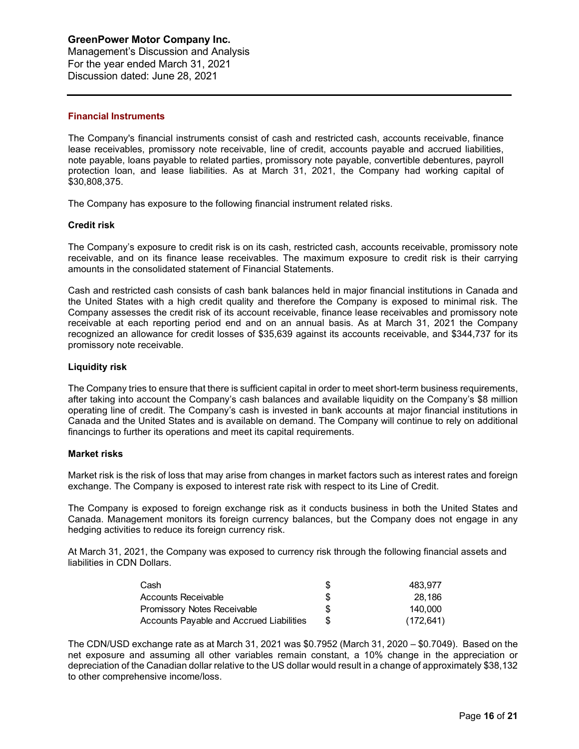Management's Discussion and Analysis For the year ended March 31, 2021 Discussion dated: June 28, 2021

## **Financial Instruments**

The Company's financial instruments consist of cash and restricted cash, accounts receivable, finance lease receivables, promissory note receivable, line of credit, accounts payable and accrued liabilities, note payable, loans payable to related parties, promissory note payable, convertible debentures, payroll protection loan, and lease liabilities. As at March 31, 2021, the Company had working capital of \$30,808,375.

The Company has exposure to the following financial instrument related risks.

## **Credit risk**

The Company's exposure to credit risk is on its cash, restricted cash, accounts receivable, promissory note receivable, and on its finance lease receivables. The maximum exposure to credit risk is their carrying amounts in the consolidated statement of Financial Statements.

Cash and restricted cash consists of cash bank balances held in major financial institutions in Canada and the United States with a high credit quality and therefore the Company is exposed to minimal risk. The Company assesses the credit risk of its account receivable, finance lease receivables and promissory note receivable at each reporting period end and on an annual basis. As at March 31, 2021 the Company recognized an allowance for credit losses of \$35,639 against its accounts receivable, and \$344,737 for its promissory note receivable.

## **Liquidity risk**

The Company tries to ensure that there is sufficient capital in order to meet short-term business requirements, after taking into account the Company's cash balances and available liquidity on the Company's \$8 million operating line of credit. The Company's cash is invested in bank accounts at major financial institutions in Canada and the United States and is available on demand. The Company will continue to rely on additional financings to further its operations and meet its capital requirements.

## **Market risks**

Market risk is the risk of loss that may arise from changes in market factors such as interest rates and foreign exchange. The Company is exposed to interest rate risk with respect to its Line of Credit.

The Company is exposed to foreign exchange risk as it conducts business in both the United States and Canada. Management monitors its foreign currency balances, but the Company does not engage in any hedging activities to reduce its foreign currency risk.

At March 31, 2021, the Company was exposed to currency risk through the following financial assets and liabilities in CDN Dollars.

| Cash                                     |    | 483.977    |
|------------------------------------------|----|------------|
| <b>Accounts Receivable</b>               | S  | 28.186     |
| <b>Promissory Notes Receivable</b>       | S. | 140,000    |
| Accounts Payable and Accrued Liabilities |    | (172, 641) |

The CDN/USD exchange rate as at March 31, 2021 was \$0.7952 (March 31, 2020 – \$0.7049). Based on the net exposure and assuming all other variables remain constant, a 10% change in the appreciation or depreciation of the Canadian dollar relative to the US dollar would result in a change of approximately \$38,132 to other comprehensive income/loss.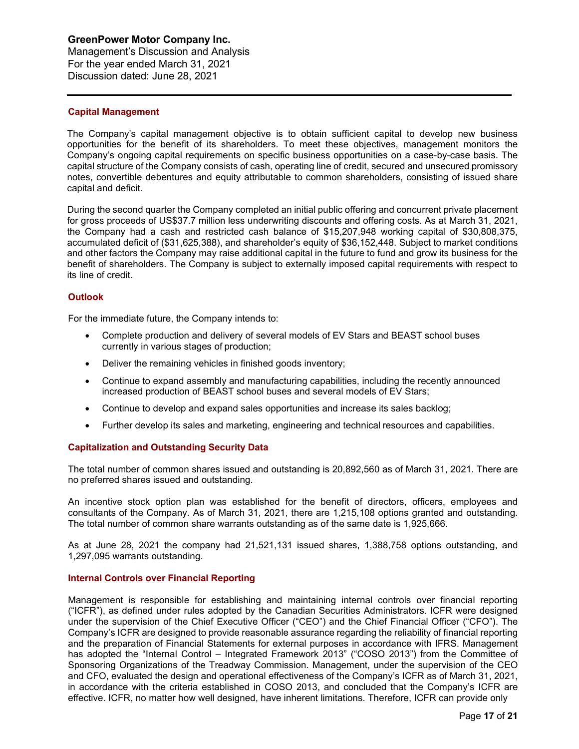Management's Discussion and Analysis For the year ended March 31, 2021 Discussion dated: June 28, 2021

## **Capital Management**

The Company's capital management objective is to obtain sufficient capital to develop new business opportunities for the benefit of its shareholders. To meet these objectives, management monitors the Company's ongoing capital requirements on specific business opportunities on a case-by-case basis. The capital structure of the Company consists of cash, operating line of credit, secured and unsecured promissory notes, convertible debentures and equity attributable to common shareholders, consisting of issued share capital and deficit.

During the second quarter the Company completed an initial public offering and concurrent private placement for gross proceeds of US\$37.7 million less underwriting discounts and offering costs. As at March 31, 2021, the Company had a cash and restricted cash balance of \$15,207,948 working capital of \$30,808,375, accumulated deficit of (\$31,625,388), and shareholder's equity of \$36,152,448. Subject to market conditions and other factors the Company may raise additional capital in the future to fund and grow its business for the benefit of shareholders. The Company is subject to externally imposed capital requirements with respect to its line of credit.

## **Outlook**

For the immediate future, the Company intends to:

- Complete production and delivery of several models of EV Stars and BEAST school buses currently in various stages of production;
- Deliver the remaining vehicles in finished goods inventory;
- Continue to expand assembly and manufacturing capabilities, including the recently announced increased production of BEAST school buses and several models of EV Stars;
- Continue to develop and expand sales opportunities and increase its sales backlog;
- Further develop its sales and marketing, engineering and technical resources and capabilities.

## **Capitalization and Outstanding Security Data**

The total number of common shares issued and outstanding is 20,892,560 as of March 31, 2021. There are no preferred shares issued and outstanding.

An incentive stock option plan was established for the benefit of directors, officers, employees and consultants of the Company. As of March 31, 2021, there are 1,215,108 options granted and outstanding. The total number of common share warrants outstanding as of the same date is 1,925,666.

As at June 28, 2021 the company had 21,521,131 issued shares, 1,388,758 options outstanding, and 1,297,095 warrants outstanding.

## **Internal Controls over Financial Reporting**

Management is responsible for establishing and maintaining internal controls over financial reporting ("ICFR"), as defined under rules adopted by the Canadian Securities Administrators. ICFR were designed under the supervision of the Chief Executive Officer ("CEO") and the Chief Financial Officer ("CFO"). The Company's ICFR are designed to provide reasonable assurance regarding the reliability of financial reporting and the preparation of Financial Statements for external purposes in accordance with IFRS. Management has adopted the "Internal Control – Integrated Framework 2013" ("COSO 2013") from the Committee of Sponsoring Organizations of the Treadway Commission. Management, under the supervision of the CEO and CFO, evaluated the design and operational effectiveness of the Company's ICFR as of March 31, 2021, in accordance with the criteria established in COSO 2013, and concluded that the Company's ICFR are effective. ICFR, no matter how well designed, have inherent limitations. Therefore, ICFR can provide only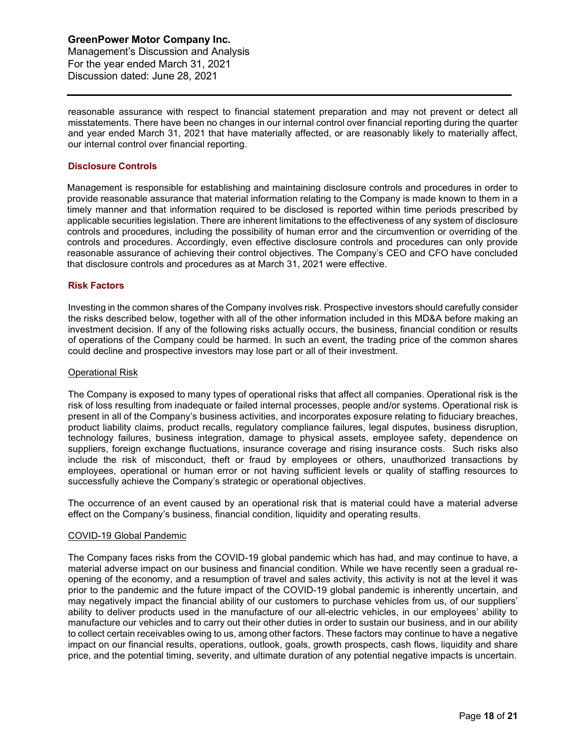Management's Discussion and Analysis For the year ended March 31, 2021 Discussion dated: June 28, 2021

reasonable assurance with respect to financial statement preparation and may not prevent or detect all misstatements. There have been no changes in our internal control over financial reporting during the quarter and year ended March 31, 2021 that have materially affected, or are reasonably likely to materially affect, our internal control over financial reporting.

## **Disclosure Controls**

Management is responsible for establishing and maintaining disclosure controls and procedures in order to provide reasonable assurance that material information relating to the Company is made known to them in a timely manner and that information required to be disclosed is reported within time periods prescribed by applicable securities legislation. There are inherent limitations to the effectiveness of any system of disclosure controls and procedures, including the possibility of human error and the circumvention or overriding of the controls and procedures. Accordingly, even effective disclosure controls and procedures can only provide reasonable assurance of achieving their control objectives. The Company's CEO and CFO have concluded that disclosure controls and procedures as at March 31, 2021 were effective.

## **Risk Factors**

Investing in the common shares of the Company involves risk. Prospective investors should carefully consider the risks described below, together with all of the other information included in this MD&A before making an investment decision. If any of the following risks actually occurs, the business, financial condition or results of operations of the Company could be harmed. In such an event, the trading price of the common shares could decline and prospective investors may lose part or all of their investment.

## Operational Risk

The Company is exposed to many types of operational risks that affect all companies. Operational risk is the risk of loss resulting from inadequate or failed internal processes, people and/or systems. Operational risk is present in all of the Company's business activities, and incorporates exposure relating to fiduciary breaches, product liability claims, product recalls, regulatory compliance failures, legal disputes, business disruption, technology failures, business integration, damage to physical assets, employee safety, dependence on suppliers, foreign exchange fluctuations, insurance coverage and rising insurance costs. Such risks also include the risk of misconduct, theft or fraud by employees or others, unauthorized transactions by employees, operational or human error or not having sufficient levels or quality of staffing resources to successfully achieve the Company's strategic or operational objectives.

The occurrence of an event caused by an operational risk that is material could have a material adverse effect on the Company's business, financial condition, liquidity and operating results.

## COVID-19 Global Pandemic

The Company faces risks from the COVID-19 global pandemic which has had, and may continue to have, a material adverse impact on our business and financial condition. While we have recently seen a gradual reopening of the economy, and a resumption of travel and sales activity, this activity is not at the level it was prior to the pandemic and the future impact of the COVID-19 global pandemic is inherently uncertain, and may negatively impact the financial ability of our customers to purchase vehicles from us, of our suppliers' ability to deliver products used in the manufacture of our all-electric vehicles, in our employees' ability to manufacture our vehicles and to carry out their other duties in order to sustain our business, and in our ability to collect certain receivables owing to us, among other factors. These factors may continue to have a negative impact on our financial results, operations, outlook, goals, growth prospects, cash flows, liquidity and share price, and the potential timing, severity, and ultimate duration of any potential negative impacts is uncertain.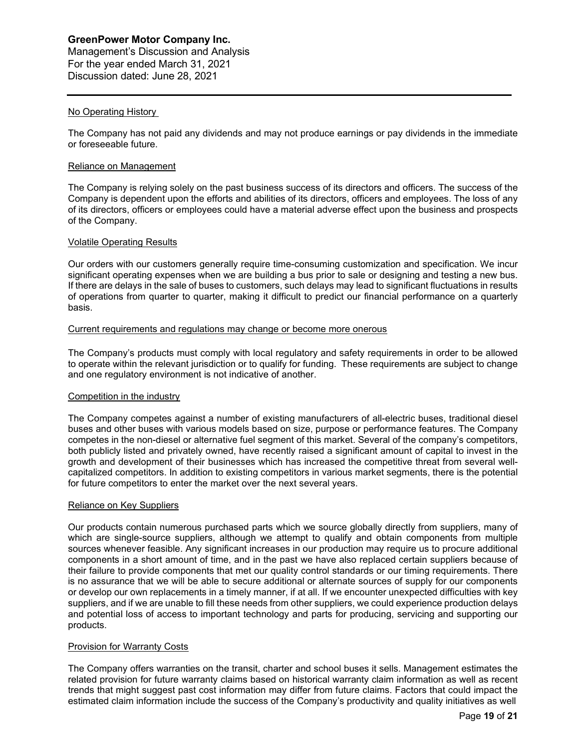Management's Discussion and Analysis For the year ended March 31, 2021 Discussion dated: June 28, 2021

## No Operating History

The Company has not paid any dividends and may not produce earnings or pay dividends in the immediate or foreseeable future.

## Reliance on Management

The Company is relying solely on the past business success of its directors and officers. The success of the Company is dependent upon the efforts and abilities of its directors, officers and employees. The loss of any of its directors, officers or employees could have a material adverse effect upon the business and prospects of the Company.

## Volatile Operating Results

Our orders with our customers generally require time-consuming customization and specification. We incur significant operating expenses when we are building a bus prior to sale or designing and testing a new bus. If there are delays in the sale of buses to customers, such delays may lead to significant fluctuations in results of operations from quarter to quarter, making it difficult to predict our financial performance on a quarterly basis.

## Current requirements and regulations may change or become more onerous

The Company's products must comply with local regulatory and safety requirements in order to be allowed to operate within the relevant jurisdiction or to qualify for funding. These requirements are subject to change and one regulatory environment is not indicative of another.

## Competition in the industry

The Company competes against a number of existing manufacturers of all-electric buses, traditional diesel buses and other buses with various models based on size, purpose or performance features. The Company competes in the non-diesel or alternative fuel segment of this market. Several of the company's competitors, both publicly listed and privately owned, have recently raised a significant amount of capital to invest in the growth and development of their businesses which has increased the competitive threat from several wellcapitalized competitors. In addition to existing competitors in various market segments, there is the potential for future competitors to enter the market over the next several years.

## Reliance on Key Suppliers

Our products contain numerous purchased parts which we source globally directly from suppliers, many of which are single-source suppliers, although we attempt to qualify and obtain components from multiple sources whenever feasible. Any significant increases in our production may require us to procure additional components in a short amount of time, and in the past we have also replaced certain suppliers because of their failure to provide components that met our quality control standards or our timing requirements. There is no assurance that we will be able to secure additional or alternate sources of supply for our components or develop our own replacements in a timely manner, if at all. If we encounter unexpected difficulties with key suppliers, and if we are unable to fill these needs from other suppliers, we could experience production delays and potential loss of access to important technology and parts for producing, servicing and supporting our products.

## Provision for Warranty Costs

The Company offers warranties on the transit, charter and school buses it sells. Management estimates the related provision for future warranty claims based on historical warranty claim information as well as recent trends that might suggest past cost information may differ from future claims. Factors that could impact the estimated claim information include the success of the Company's productivity and quality initiatives as well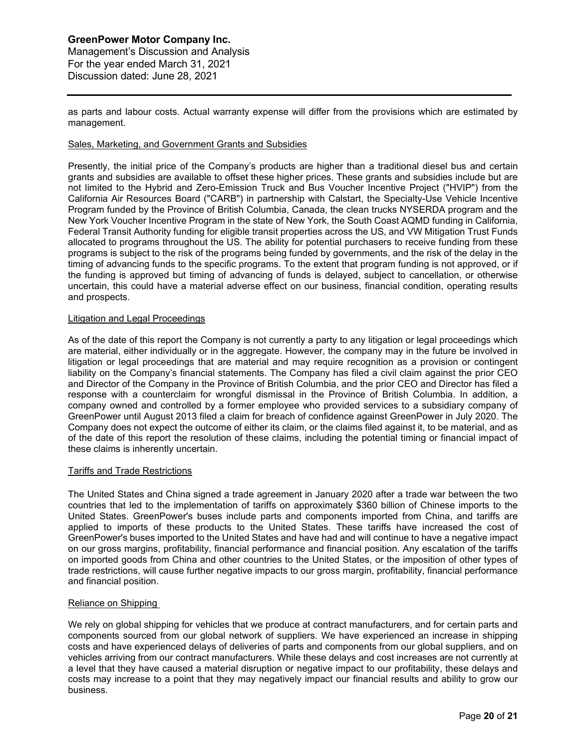Management's Discussion and Analysis For the year ended March 31, 2021 Discussion dated: June 28, 2021

as parts and labour costs. Actual warranty expense will differ from the provisions which are estimated by management.

## Sales, Marketing, and Government Grants and Subsidies

Presently, the initial price of the Company's products are higher than a traditional diesel bus and certain grants and subsidies are available to offset these higher prices. These grants and subsidies include but are not limited to the Hybrid and Zero-Emission Truck and Bus Voucher Incentive Project ("HVIP") from the California Air Resources Board ("CARB") in partnership with Calstart, the Specialty-Use Vehicle Incentive Program funded by the Province of British Columbia, Canada, the clean trucks NYSERDA program and the New York Voucher Incentive Program in the state of New York, the South Coast AQMD funding in California, Federal Transit Authority funding for eligible transit properties across the US, and VW Mitigation Trust Funds allocated to programs throughout the US. The ability for potential purchasers to receive funding from these programs is subject to the risk of the programs being funded by governments, and the risk of the delay in the timing of advancing funds to the specific programs. To the extent that program funding is not approved, or if the funding is approved but timing of advancing of funds is delayed, subject to cancellation, or otherwise uncertain, this could have a material adverse effect on our business, financial condition, operating results and prospects.

#### Litigation and Legal Proceedings

As of the date of this report the Company is not currently a party to any litigation or legal proceedings which are material, either individually or in the aggregate. However, the company may in the future be involved in litigation or legal proceedings that are material and may require recognition as a provision or contingent liability on the Company's financial statements. The Company has filed a civil claim against the prior CEO and Director of the Company in the Province of British Columbia, and the prior CEO and Director has filed a response with a counterclaim for wrongful dismissal in the Province of British Columbia. In addition, a company owned and controlled by a former employee who provided services to a subsidiary company of GreenPower until August 2013 filed a claim for breach of confidence against GreenPower in July 2020. The Company does not expect the outcome of either its claim, or the claims filed against it, to be material, and as of the date of this report the resolution of these claims, including the potential timing or financial impact of these claims is inherently uncertain.

## Tariffs and Trade Restrictions

The United States and China signed a trade agreement in January 2020 after a trade war between the two countries that led to the implementation of tariffs on approximately \$360 billion of Chinese imports to the United States. GreenPower's buses include parts and components imported from China, and tariffs are applied to imports of these products to the United States. These tariffs have increased the cost of GreenPower's buses imported to the United States and have had and will continue to have a negative impact on our gross margins, profitability, financial performance and financial position. Any escalation of the tariffs on imported goods from China and other countries to the United States, or the imposition of other types of trade restrictions, will cause further negative impacts to our gross margin, profitability, financial performance and financial position.

## Reliance on Shipping

We rely on global shipping for vehicles that we produce at contract manufacturers, and for certain parts and components sourced from our global network of suppliers. We have experienced an increase in shipping costs and have experienced delays of deliveries of parts and components from our global suppliers, and on vehicles arriving from our contract manufacturers. While these delays and cost increases are not currently at a level that they have caused a material disruption or negative impact to our profitability, these delays and costs may increase to a point that they may negatively impact our financial results and ability to grow our business.